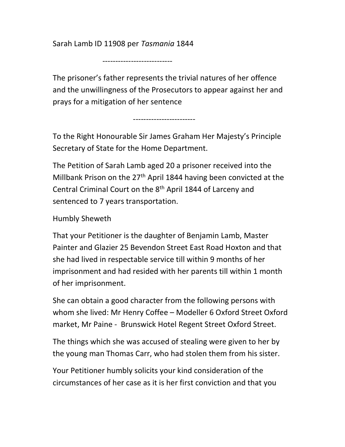Sarah Lamb ID 11908 per Tasmania 1844

---------------------------

The prisoner's father represents the trivial natures of her offence and the unwillingness of the Prosecutors to appear against her and prays for a mitigation of her sentence

------------------------

To the Right Honourable Sir James Graham Her Majesty's Principle Secretary of State for the Home Department.

The Petition of Sarah Lamb aged 20 a prisoner received into the Millbank Prison on the 27<sup>th</sup> April 1844 having been convicted at the Central Criminal Court on the 8th April 1844 of Larceny and sentenced to 7 years transportation.

Humbly Sheweth

That your Petitioner is the daughter of Benjamin Lamb, Master Painter and Glazier 25 Bevendon Street East Road Hoxton and that she had lived in respectable service till within 9 months of her imprisonment and had resided with her parents till within 1 month of her imprisonment.

She can obtain a good character from the following persons with whom she lived: Mr Henry Coffee – Modeller 6 Oxford Street Oxford market, Mr Paine - Brunswick Hotel Regent Street Oxford Street.

The things which she was accused of stealing were given to her by the young man Thomas Carr, who had stolen them from his sister.

Your Petitioner humbly solicits your kind consideration of the circumstances of her case as it is her first conviction and that you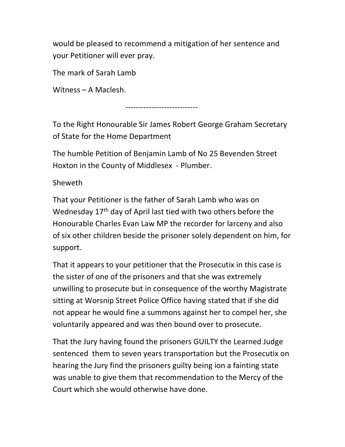would be pleased to recommend a mitigation of her sentence and your Petitioner will ever pray.

The mark of Sarah Lamb

Witness – A Maclesh.

----------------------------

To the Right Honourable Sir James Robert George Graham Secretary of State for the Home Department

The humble Petition of Benjamin Lamb of No 25 Bevenden Street Hoxton in the County of Middlesex - Plumber.

Sheweth

That your Petitioner is the father of Sarah Lamb who was on Wednesday 17<sup>th</sup> day of April last tied with two others before the Honourable Charles Evan Law MP the recorder for larceny and also of six other children beside the prisoner solely dependent on him, for support.

That it appears to your petitioner that the Prosecutix in this case is the sister of one of the prisoners and that she was extremely unwilling to prosecute but in consequence of the worthy Magistrate sitting at Worsnip Street Police Office having stated that if she did not appear he would fine a summons against her to compel her, she voluntarily appeared and was then bound over to prosecute.

That the Jury having found the prisoners GUILTY the Learned Judge sentenced them to seven years transportation but the Prosecutix on hearing the Jury find the prisoners guilty being ion a fainting state was unable to give them that recommendation to the Mercy of the Court which she would otherwise have done.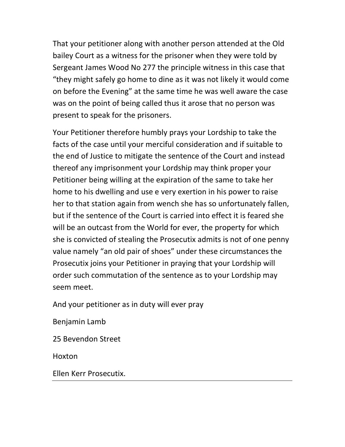That your petitioner along with another person attended at the Old bailey Court as a witness for the prisoner when they were told by Sergeant James Wood No 277 the principle witness in this case that "they might safely go home to dine as it was not likely it would come on before the Evening" at the same time he was well aware the case was on the point of being called thus it arose that no person was present to speak for the prisoners.

Your Petitioner therefore humbly prays your Lordship to take the facts of the case until your merciful consideration and if suitable to the end of Justice to mitigate the sentence of the Court and instead thereof any imprisonment your Lordship may think proper your Petitioner being willing at the expiration of the same to take her home to his dwelling and use e very exertion in his power to raise her to that station again from wench she has so unfortunately fallen, but if the sentence of the Court is carried into effect it is feared she will be an outcast from the World for ever, the property for which she is convicted of stealing the Prosecutix admits is not of one penny value namely "an old pair of shoes" under these circumstances the Prosecutix joins your Petitioner in praying that your Lordship will order such commutation of the sentence as to your Lordship may seem meet.

And your petitioner as in duty will ever pray

Benjamin Lamb

25 Bevendon Street

Hoxton

Ellen Kerr Prosecutix.